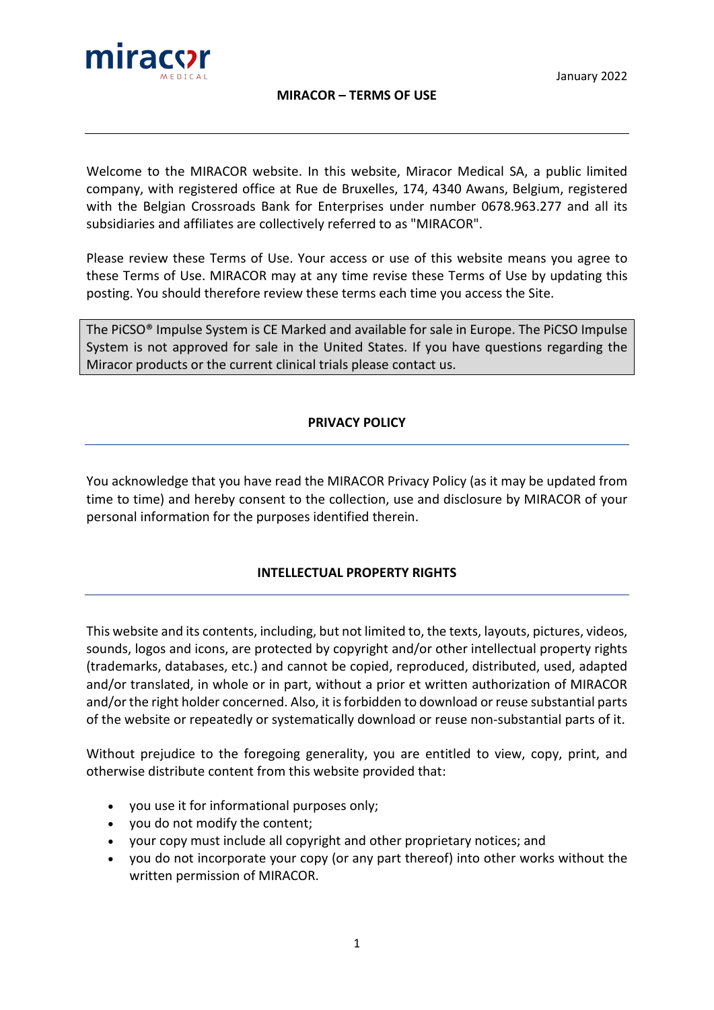



## **MIRACOR – TERMS OF USE**

Welcome to the MIRACOR website. In this website, Miracor Medical SA, a public limited company, with registered office at Rue de Bruxelles, 174, 4340 Awans, Belgium, registered with the Belgian Crossroads Bank for Enterprises under number 0678.963.277 and all its subsidiaries and affiliates are collectively referred to as "MIRACOR".

Please review these Terms of Use. Your access or use of this website means you agree to these Terms of Use. MIRACOR may at any time revise these Terms of Use by updating this posting. You should therefore review these terms each time you access the Site.

The PiCSO® Impulse System is CE Marked and available for sale in Europe. The PiCSO Impulse System is not approved for sale in the United States. If you have questions regarding the Miracor products or the current clinical trials please contact us.

# **PRIVACY POLICY**

You acknowledge that you have read the MIRACOR Privacy Policy (as it may be updated from time to time) and hereby consent to the collection, use and disclosure by MIRACOR of your personal information for the purposes identified therein.

# **INTELLECTUAL PROPERTY RIGHTS**

This website and its contents, including, but not limited to, the texts, layouts, pictures, videos, sounds, logos and icons, are protected by copyright and/or other intellectual property rights (trademarks, databases, etc.) and cannot be copied, reproduced, distributed, used, adapted and/or translated, in whole or in part, without a prior et written authorization of MIRACOR and/or the right holder concerned. Also, it is forbidden to download or reuse substantial parts of the website or repeatedly or systematically download or reuse non-substantial parts of it.

Without prejudice to the foregoing generality, you are entitled to view, copy, print, and otherwise distribute content from this website provided that:

- you use it for informational purposes only;
- you do not modify the content;
- your copy must include all copyright and other proprietary notices; and
- you do not incorporate your copy (or any part thereof) into other works without the written permission of MIRACOR.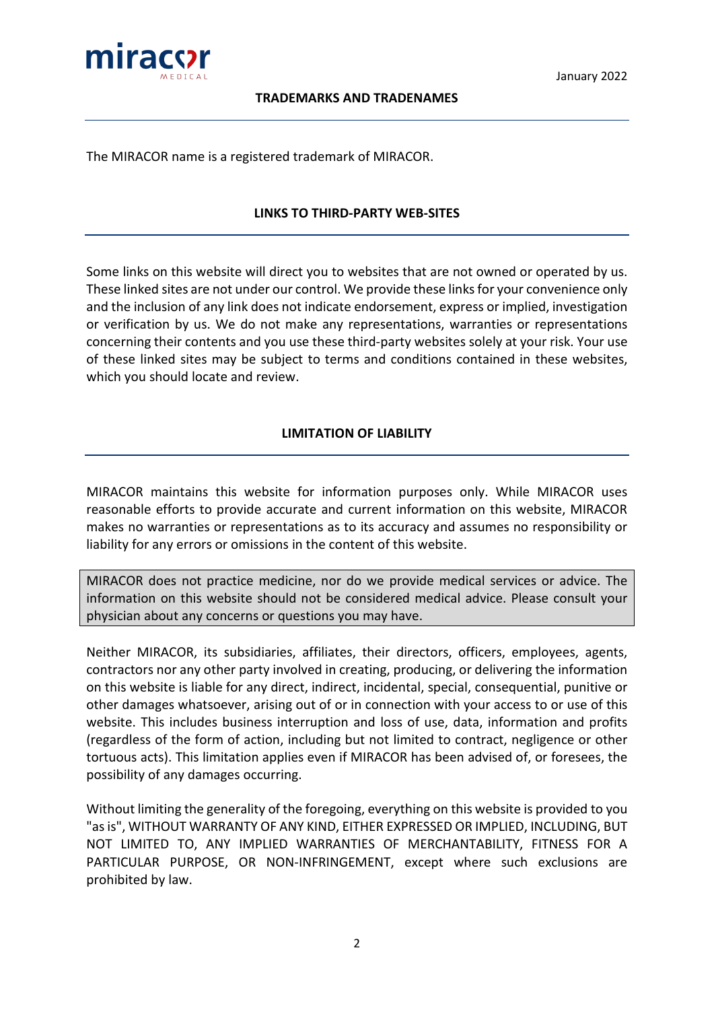

#### **TRADEMARKS AND TRADENAMES**

The MIRACOR name is a registered trademark of MIRACOR.

#### **LINKS TO THIRD-PARTY WEB-SITES**

Some links on this website will direct you to websites that are not owned or operated by us. These linked sites are not under our control. We provide these links for your convenience only and the inclusion of any link does not indicate endorsement, express or implied, investigation or verification by us. We do not make any representations, warranties or representations concerning their contents and you use these third-party websites solely at your risk. Your use of these linked sites may be subject to terms and conditions contained in these websites, which you should locate and review.

#### **LIMITATION OF LIABILITY**

MIRACOR maintains this website for information purposes only. While MIRACOR uses reasonable efforts to provide accurate and current information on this website, MIRACOR makes no warranties or representations as to its accuracy and assumes no responsibility or liability for any errors or omissions in the content of this website.

MIRACOR does not practice medicine, nor do we provide medical services or advice. The information on this website should not be considered medical advice. Please consult your physician about any concerns or questions you may have.

Neither MIRACOR, its subsidiaries, affiliates, their directors, officers, employees, agents, contractors nor any other party involved in creating, producing, or delivering the information on this website is liable for any direct, indirect, incidental, special, consequential, punitive or other damages whatsoever, arising out of or in connection with your access to or use of this website. This includes business interruption and loss of use, data, information and profits (regardless of the form of action, including but not limited to contract, negligence or other tortuous acts). This limitation applies even if MIRACOR has been advised of, or foresees, the possibility of any damages occurring.

Without limiting the generality of the foregoing, everything on this website is provided to you "as is", WITHOUT WARRANTY OF ANY KIND, EITHER EXPRESSED OR IMPLIED, INCLUDING, BUT NOT LIMITED TO, ANY IMPLIED WARRANTIES OF MERCHANTABILITY, FITNESS FOR A PARTICULAR PURPOSE, OR NON-INFRINGEMENT, except where such exclusions are prohibited by law.